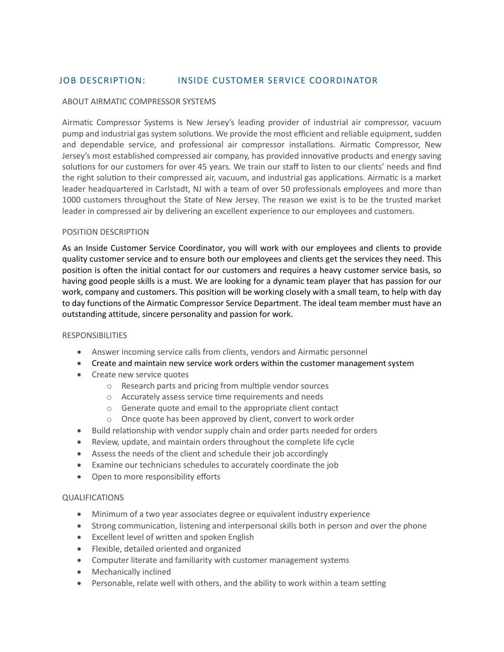# JOB DESCRIPTION: INSIDE CUSTOMER SERVICE COORDINATOR

### ABOUT AIRMATIC COMPRESSOR SYSTEMS

Airmatic Compressor Systems is New Jersey's leading provider of industrial air compressor, vacuum pump and industrial gas system solutions. We provide the most efficient and reliable equipment, sudden and dependable service, and professional air compressor installations. Airmatic Compressor, New Jersey's most established compressed air company, has provided innovative products and energy saving solutions for our customers for over 45 years. We train our staff to listen to our clients' needs and find the right solution to their compressed air, vacuum, and industrial gas applications. Airmatic is a market leader headquartered in Carlstadt, NJ with a team of over 50 professionals employees and more than 1000 customers throughout the State of New Jersey. The reason we exist is to be the trusted market leader in compressed air by delivering an excellent experience to our employees and customers.

## POSITION DESCRIPTION

As an Inside Customer Service Coordinator, you will work with our employees and clients to provide quality customer service and to ensure both our employees and clients get the services they need. This position is often the initial contact for our customers and requires a heavy customer service basis, so having good people skills is a must. We are looking for a dynamic team player that has passion for our work, company and customers. This position will be working closely with a small team, to help with day to day functions of the Airmatic Compressor Service Department. The ideal team member must have an outstanding attitude, sincere personality and passion for work.

#### RESPONSIBILITIES

- Answer incoming service calls from clients, vendors and Airmatic personnel
- Create and maintain new service work orders within the customer management system
- Create new service quotes
	- o Research parts and pricing from multiple vendor sources
	- o Accurately assess service time requirements and needs
	- o Generate quote and email to the appropriate client contact
	- o Once quote has been approved by client, convert to work order
- Build relationship with vendor supply chain and order parts needed for orders
- Review, update, and maintain orders throughout the complete life cycle
- Assess the needs of the client and schedule their job accordingly
- Examine our technicians schedules to accurately coordinate the job
- Open to more responsibility efforts

#### QUALIFICATIONS

- Minimum of a two year associates degree or equivalent industry experience
- Strong communication, listening and interpersonal skills both in person and over the phone
- Excellent level of written and spoken English
- Flexible, detailed oriented and organized
- Computer literate and familiarity with customer management systems
- Mechanically inclined
- Personable, relate well with others, and the ability to work within a team setting